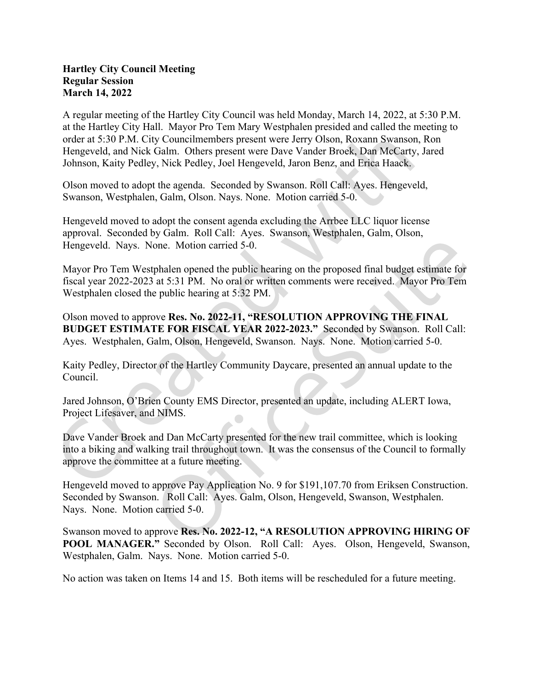## Hartley City Council Meeting Regular Session March 14, 2022

A regular meeting of the Hartley City Council was held Monday, March 14, 2022, at 5:30 P.M. at the Hartley City Hall. Mayor Pro Tem Mary Westphalen presided and called the meeting to order at 5:30 P.M. City Councilmembers present were Jerry Olson, Roxann Swanson, Ron Hengeveld, and Nick Galm. Others present were Dave Vander Broek, Dan McCarty, Jared Johnson, Kaity Pedley, Nick Pedley, Joel Hengeveld, Jaron Benz, and Erica Haack.

Olson moved to adopt the agenda. Seconded by Swanson. Roll Call: Ayes. Hengeveld, Swanson, Westphalen, Galm, Olson. Nays. None. Motion carried 5-0.

Hengeveld moved to adopt the consent agenda excluding the Arrbee LLC liquor license approval. Seconded by Galm. Roll Call: Ayes. Swanson, Westphalen, Galm, Olson, Hengeveld. Nays. None. Motion carried 5-0.

Mayor Pro Tem Westphalen opened the public hearing on the proposed final budget estimate for fiscal year 2022-2023 at 5:31 PM. No oral or written comments were received. Mayor Pro Tem Westphalen closed the public hearing at 5:32 PM.

Olson moved to approve Res. No. 2022-11, "RESOLUTION APPROVING THE FINAL BUDGET ESTIMATE FOR FISCAL YEAR 2022-2023." Seconded by Swanson. Roll Call: Ayes. Westphalen, Galm, Olson, Hengeveld, Swanson. Nays. None. Motion carried 5-0.

Kaity Pedley, Director of the Hartley Community Daycare, presented an annual update to the Council.

Jared Johnson, O'Brien County EMS Director, presented an update, including ALERT Iowa, Project Lifesaver, and NIMS.

Dave Vander Broek and Dan McCarty presented for the new trail committee, which is looking into a biking and walking trail throughout town. It was the consensus of the Council to formally approve the committee at a future meeting.<br>Hengeveld moved to approve Pay Application No. 9 for \$191,107.70 from Eriksen Construction.

Seconded by Swanson. Roll Call: Ayes. Galm, Olson, Hengeveld, Swanson, Westphalen. Nays. None. Motion carried 5-0.

Swanson moved to approve Res. No. 2022-12, "A RESOLUTION APPROVING HIRING OF POOL MANAGER." Seconded by Olson. Roll Call: Ayes. Olson, Hengeveld, Swanson, Westphalen, Galm. Nays. None. Motion carried 5-0.

No action was taken on Items 14 and 15. Both items will be rescheduled for a future meeting.